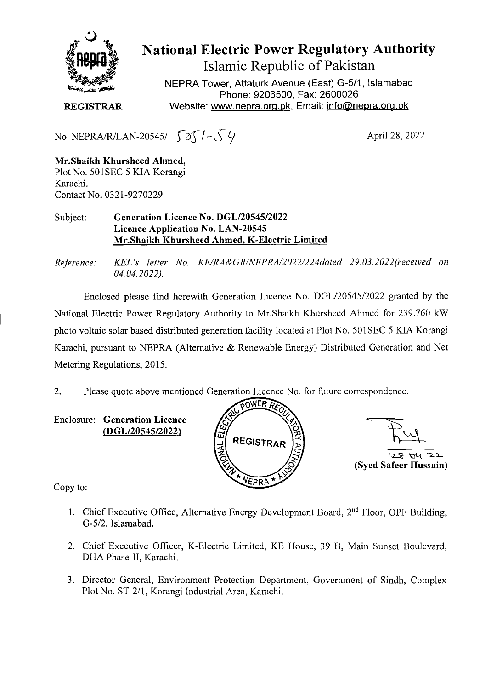

National Electric Power Regulatory Authority Islamic Republic of Pakistan

NEPRA Tower, Attaturk Avenue (East) G-511, Islamabad Phone: 9206500, Fax: 2600026 **REGISTRAR** Website: www.nepra.org.pk, Email: info@nepra.org.pk

No. NEPRA/R/LAN-20545/  $\int \partial \int$  / -  $\int \sqrt{}$ 

April 28, 2022

**Mr.Shaikh Khurshced Ahmed,**  Plot No. 5O1SEC 5 KIA Korangi Karachi. Contact No. 0321-9270229

Subject: **Generation Licence No.** *DGL/2054512022*  **Licence Application No. LAN-20545 Mr.Shaikh Khursheed Ahmed, K-Electric Limited** 

*Reference: KEL 's letter No. KE/RA&GR/NEPRA/2022/224da1ed 29.03. 2022('received on 04.04.2022).* 

Enclosed please find herewith Generation Licence No. DGL/20545/2022 granted by the National Electric Power Regulatory Authority to Mr.Shaikh Khursheed Ahmed for *239.760* kW photo voltaic solar based distributed generation facility located at Plot No. 501 SEC *5* KIA Korangi Karachi, pursuant to NEPRA (Alternative & Renewable Energy) Distributed Generation and Net Metering Regulations, 2015.

2. Please quote above mentioned Generation Licence No. for future correspondence.

Enclosure: **Generation Licence (DGL/20545/2022)** 



*• 4 -)-* **(Syed Safeer Hussain)** 

Copy to:

- 1. Chief Executive Office, Alternative Energy Development Board,  $2<sup>nd</sup>$  Floor, OPF Building, G-5/2, Islamabad.
- 2. Chief Executive Officer, K-Electric Limited, KE House, 39 B, Main Sunset Boulevard, DHA Phase-Il, Karachi.
- 3. Director General, Environment Protection Department, Government of Sindh, Complex Plot No. ST-2/1, Korangi Industrial Area, Karachi.